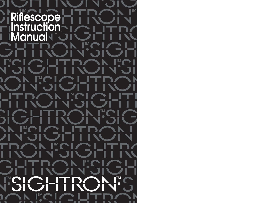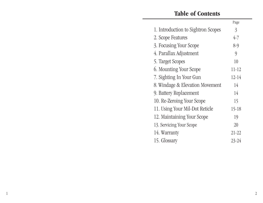## **Table of Contents**

| Page      |
|-----------|
| 3         |
| $4 - 7$   |
| $8-9$     |
| 9         |
| 10        |
| $11 - 12$ |
| $12 - 14$ |
| 14        |
| 14        |
| 15        |
| 15-18     |
| 19        |
| 20        |
| $21 - 22$ |
| $23 - 24$ |
|           |

1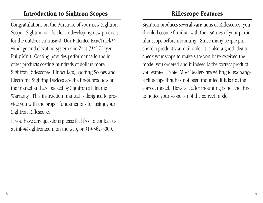## **Introduction to Sightron Scopes**

Congratulations on the Purchase of your new Sightron Scope. Sightron is a leader in developing new products for the outdoor enthusiast. Our Patented ExacTrack™ windage and elevation system and Zact-7™ 7 layer Fully Multi-Coating provides performance found in other products costing hundreds of dollars more. Sightron Riflescopes, Binoculars, Spotting Scopes and Electronic Sighting Devices are the finest products on the market and are backed by Sightron's Lifetime Warranty. This instruction manual is designed to provide you with the proper fundamentals for using your Sightron Riflescope.

If you have any questions please feel free to contact us at info@sightron.com on the web, or 919-562-3000.

## **Riflescope Features**

Sightron produces several variations of Riflescopes, you should become familiar with the features of your particular scope before mounting. Since many people purchase a product via mail order it is also a good idea to check your scope to make sure you have received the model you ordered and it indeed is the correct product you wanted. Note: Most Dealers are willing to exchange a riflescope that has not been mounted if it is not the correct model. However, after mounting is not the time to notice your scope is not the correct model.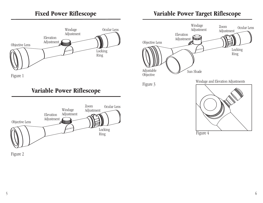#### **Fixed Power Riflescope**



Figure 1





Figure 2

# **Variable Power Target Riflescope**



Figure 4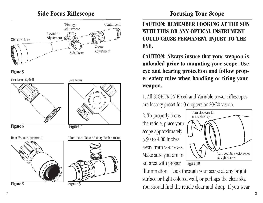#### **Side Focus Riflescope**











Figure 8



Illuminated Reticle Battery Replacement



Figure

#### **Focusing Your Scope**

**CAUTION: REMEMBER LOOKING AT THE SUN WITH THIS OR ANY OPTICAL INSTRUMENT COULD CAUSE PERMANENT INJURY TO THE EYE.**

**CAUTION: Always insure that your weapon is unloaded prior to mounting your scope. Use eye and hearing protection and follow proper safety rules when handling or firing your weapon.**

1. All SIGHTRON Fixed and Variable power riflescopes are factory preset for 0 diopters or 20/20 vision.

2. To properly focus the reticle, place your scope approximately 3.50 to 4.00 inches away from your eyes. Make sure you are in an area with proper



illumination. Look through your scope at any bright surface or light colored wall, or perhaps the clear sky. You should find the reticle clear and sharp. If you wear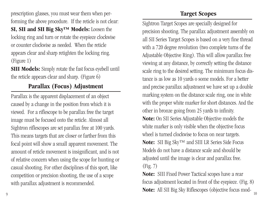prescription glasses, you must wear them when performing the above procedure. If the reticle is not clear: **SI, SII and SII Big Sky™ Models:** Loosen the locking ring and turn or rotate the eyepiece clockwise or counter clockwise as needed. When the reticle appears clear and sharp retighten the locking ring. (Figure 1)

**SIII Models:** Simply rotate the fast focus eyebell until the reticle appears clear and sharp. (Figure 6)

#### **Parallax (Focus) Adjustment**

Parallax is the apparent displacement of an object caused by a change in the position from which it is viewed. For a riflescope to be parallax free the target image must be focused onto the reticle. Almost all Sightron riflescopes are set parallax free at 100 yards. This means targets that are closer or farther from this focal point will show a small apparent movement. The amount of reticle movement is insignificant, and is not of relative concern when using the scope for hunting or casual shooting. For other disciplines of this sport, like competition or precision shooting, the use of a scope with parallax adjustment is recommended.

## **Target Scopes**

Sightron Target Scopes are specially designed for precision shooting. The parallax adjustment assembly on all SII Series Target Scopes is based on a very fine thread with a 720 degree revolution (two complete turns of the Adjustable Objective Ring). This will allow parallax free viewing at any distance, by correctly setting the distance scale ring to the desired setting. The minimum focus distance is as low as 10 yards o some models. For a better and precise parallax adjustment we have set up a double marking system on the distance scale ring, one in white with the proper white marker for short distances. And the other in bronze going from 25 yards to infinity.

**Note:** On SII Series Adjustable Objective models the white marker is only visible when the objective focus wheel is turned clockwise to focus on near targets.

**Note:** SII Big Sky™ and SIII LR Series Side Focus Models do not have a distance scale and should be adjusted until the image is clear and parallax free. (Fig. 7)

**Note:** SIII Fixed Power Tactical scopes have a rear focus adjustment located in front of the eyepiece. (Fig. 8) **Note:** All SII Big Sky Riflescopes (objective focus mod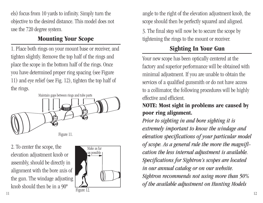els) focus from 10 yards to infinity. Simply turn the objective to the desired distance. This model does not use the 720 degree system.

## **Mounting Your Scope**

1. Place both rings on your mount base or receiver, and tighten slightly. Remove the top half of the rings and place the scope in the bottom half of the rings. Once you have determined proper ring spacing (see Figure 11) and eye relief (see Fig. 12), tighten the top half of the rings.



2. To center the scope, the elevation adjustment knob or assembly, should be directly in alignment with the bore axis of the gun. The windage adjusting knob should then be in a 90º  $Figure 12.$ 



angle to the right of the elevation adjustment knob, the scope should then be perfectly squared and aligned.

3. The final step will now be to secure the scope by tightening the rings to the mount or receiver.

# **Sighting In Your Gun**

Your new scope has been optically centered at the factory and superior performance will be obtained with minimal adjustment. If you are unable to obtain the services of a qualified gunsmith or do not have access to a collimator, the following procedures will be highly effective and efficient.

#### **NOTE: Most sight in problems are caused by poor ring alignment.**

*Prior to sighting in and bore sighting it is extremely important to know the windage and elevation specifications of your particular model of scope. As a general rule the more the magnification the less internal adjustment is available. Specifications for Sightron's scopes are located in our annual catalog or on our website. Sightron recommends not using more than 50% of the available adjustment on Hunting Models*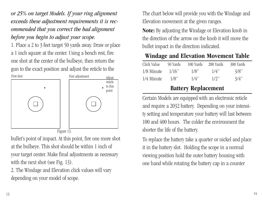*or 25% on target Models. If your ring alignment exceeds these adjustment requirements it is recommended that you correct the bad alignment before you begin to adjust your scope.*

1. Place a 2 to 3 feet target 50 yards away. Draw or place a 1 inch square at the center. Using a bench rest, fire one shot at the center of the bullseye, then return the gun to the exact position and adjust the reticle to the



bullet's point of impact. At this point, fire one more shot at the bullseye. This shot should be within 1 inch of your target center. Make final adjustments as necessary with the next shot (see Fig. 13).

2. The Windage and Elevation click values will vary depending on your model of scope.

The chart below will provide you with the Windage and Elevation movement at the given ranges.

**Note:** By adjusting the Windage or Elevation knob in the direction of the arrow on the knob it will move the bullet impact in the direction indicated.

## **Windage and Elevation Movement Table**

| Click Value | 50 Yards | 100 Yards            | 200 Yards | 300 Yards |
|-------------|----------|----------------------|-----------|-----------|
| 1/8 Minute  | 1/16"    | 1/8"                 | $1/4$ "   | 3/8"      |
| 1/4 Minute  | 1/8"     | 1/4"                 | $1/2$ "   | $3/4$ "   |
|             |          | Dottowy Donloagungut |           |           |

# **Battery Replacement**

Certain Models are equipped with an electronic reticle and require a 2032 battery. Depending on your intensity setting and temperature your battery will last between 100 and 400 hours. The colder the environment the shorter the life of the battery.

To replace the battery take a quarter or nickel and place it in the battery slot. Holding the scope in a normal viewing position hold the outer battery housing with one hand while rotating the battery cap in a counter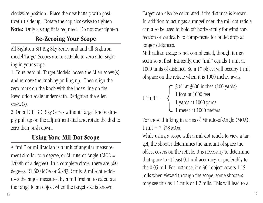clockwise position. Place the new battery with positive(+) side up. Rotate the cap clockwise to tighten. **Note:** Only a snug fit is required. Do not over tighten.

## **Re-Zeroing Your Scope**

All Sightron SII Big Sky Series and and all Sightron model Target Scopes are re-settable to zero after sighting in your scope.

1. To re-zero all Target Models loosen the Allen screw(s) and remove the knob by pulling up. Then align the zero mark on the knob with the index line on the Revolution scale underneath. Retighten the Allen  $screw(s)$ .

2. On all SII BIG Sky Series without Target knobs simply pull up on the adjustment dial and rotate the dial to zero then push down.

# **Using Your Mil-Dot Scope**

A "mil" or milliradian is a unit of angular measurement similar to a degree, or Minute-of-Angle  $(MOA =$ 1/60th of a degree). In a complete circle, there are 360 degrees, 21,600 MOA or 6,283.2 mils. A mil-dot reticle uses the angle measured by a milliradian to calculate the range to an object when the target size is known.

Target can also be calculated if the distance is known. In addition to actingas a rangefinder, the mil-dot reticle can also be used to hold off horizontally for wind correction or vertically to compensate for bullet drop at longer distances.

Milliradian usage is not complicated, though it may seem so at first. Basically, one "mil" equals 1 unit at 1000 units of distance. So a 1" object will occupy 1 mil of space on the reticle when it is 1000 inches away.

| $1$ "mil" = | $\sim$ 3.6" at 3600 inches (100 yards) |
|-------------|----------------------------------------|
|             | 1 foot at 1000 feet                    |
|             | 1 yards at 1000 yards                  |
|             | $\mathsf{L}$ 1 meter at 1000 meters    |

For those thinking in terms of Minute-of-Angle (MOA),  $1 \text{ mil} = 3.438 \text{ MOA}.$ 

While using a scope with a mil-dot reticle to view a target, the shooter determines the amount of space the oblect covers on the reticle. It is necessary to determine that space to at least 0.1 mil accuracy, or preferably to the 0.05 mil. For instance, if a 30" object covers 1.15 mils when viewed through the scope, some shooters may see this as 1.1 mils or 1.2 mils. This will lead to a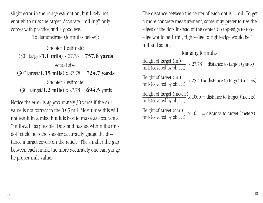slight error in the range estimation, but likely not enough to miss the target. Accurate "milling" only comes with practice and a good eye.

To demonstrate (formulas below):

Shooter 1 estimate: (30" target/**1.1 mils**) x 27.78 = **757.6 yards** Actual size: (30" target/**1.15 mils**) x 27.78 = **724.7 yards** Shooter 2 estimate: (30" target/**1.2 mils**) x 27.78 = **694.5** yards

Notice the error is approximately 30 yards if the mil value is not correct to the 0.05 mil. Most times this will not result in a miss, but it is best to make as accurate a "mill-call" as possible. Dots and hashes within the mildot reticle help the shooter accurately gauge the distance a target covers on the reticle. The smaller the gap between each mark, the more accurately one can gauge he proper mill-value.

The distance between the center of each dot is 1 mil. To get a more concrete measurement, some may prefer to use the edges of the dots instead of the center. So top-edge to topedge would be 1 mil, right-edge to right-edge would be 1 mil and so on.

Ranging formulas:

Height of target (in.)  $x \cdot 27.78$  = distance to target (yards) mils (covered by object)

Height of target (in.)  $x$  25.40 = distance to target (meters) mils (covered by object)

Height of target (meters)  $x$  1000 = distance to target (meters) mils (covered by object)

 $\frac{\text{Height of target (cm.)}}{\text{mils(covered by object)}}$  x 10 = distance to target (meters)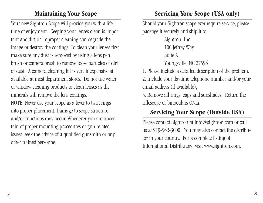#### **Maintaining Your Scope**

Your new Sightron Scope will provide you with a life time of enjoyment. Keeping your lenses clean is important and dirt or improper cleaning can degrade the image or destroy the coatings. To clean your lenses first make sure any dust is removed by using a lens pen brush or camera brush to remove loose particles of dirt or dust. A camera cleaning kit is very inexpensive at available at most department stores. Do not use water or window cleaning products to clean lenses as the minerals will remove the lens coatings. NOTE: Never use your scope as a lever to twist rings into proper placement. Damage to scope structure and/or functions may occur. Whenever you are uncertain of proper mounting procedures or gun related issues, seek the advice of a qualified gunsmith or any

#### **Servicing Your Scope (USA only)**

Should your Sightron scope ever require service, please package it securely and ship it to:

> Sightron. Inc. 100 Jeffrey Way Suite A Youngsville, NC 27596

1. Please include a detailed description of the problem.

2. Include your daytime telephone number and/or your email address (if available),

3. Remove all rings, caps and sunshades. Return the riflescope or binoculars ONLY.

## **Servicing Your Scope (Outside USA)**

Please contact Sightron at info@sightron.com or call us at 919-562-3000. You may also contact the distributor in your country. For a complete listing of International Distributors visit www.sightron.com.

other trained personnel.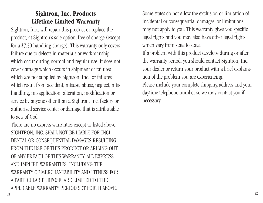## **Sightron, Inc. Products Lifetime Limited Warranty**

Sightron, Inc., will repair this product or replace the product, at Sightron's sole option, free of charge (except for a \$7.50 handling charge). This warranty only covers failure due to defects in materials or workmanship which occur during normal and regular use. It does not cover damage which occurs in shipment or failures which are not supplied by Sightron, Inc., or failures which result from accident, misuse, abuse, neglect, mishandling, misapplication, alteration, modification or service by anyone other than a Sightron, Inc. factory or authorized service center or damage that is attributable to acts of God.

There are no express warranties except as listed above. SIGHTRON, INC. SHALL NOT BE LIABLE FOR INCI-DENTAL OR CONSEQUENTIAL DAMAGES RESULTING FROM THE USE OF THIS PRODUCT OR ARISING OUT OF ANY BREACH OF THIS WARRANTY. ALL EXPRESS AND IMPLIED WARRANTIES, INCLUDING THE WARRANTY OF MERCHANTABILITY AND FITNESS FOR A PARTICULAR PURPOSE, ARE LIMITED TO THE APPLICABLE WARRANTY PERIOD SET FORTH ABOVE.

Some states do not allow the exclusion or limitation of incidental or consequential damages, or limitations may not apply to you. This warranty gives you specific legal rights and you may also have other legal rights which vary from state to state.

If a problem with this product develops during or after the warranty period, you should contact Sightron, Inc. your dealer or return your product with a brief explanation of the problem you are experiencing.

Please include your complete shipping address and your daytime telephone number so we may contact you if necessary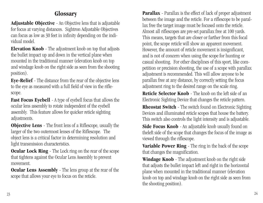#### **Glossary**

**Adjustable Objective** - An Objective lens that is adjustable for focus at varying distances. Sightron Adjustable Objectives can focus as low as 30 feet in infinity depending on the individual model.

**Elevation Knob** - The adjustment knob on top that adjusts the bullet impact up and down in the vertical plane when mounted in the traditional manner (elevation knob on top and windage knob on the right side as seen from the shooting position).

**Eye-Relief** - The distance from the rear of the objective lens to the eye as measured with a full field of view in the riflescope.

**Fast Focus Eyebell** - A type of eyebell focus that allows the ocular lens assembly to rotate independent of the eyebell assembly. This feature allows for quicker reticle sighting adjustments.

**Objective Lens** - The front lens of a Riflescope, usually the larger of the two outermost lenses of the Riflescope. The object lens is a critical factor in determining resolution and light transmission characteristics.

**Ocular Lock Ring** - The Lock ring on the rear of the scope that tightens against the Ocular Lens Assembly to prevent movement.

**Ocular Lens Assembly** - The lens group at the rear of the scope that allows your eye to focus on the reticle.

**Parallax** - Parallax is the effect of lack of proper adjustment between the image and the reticle. For a riflescope to be parallax free the target image must be focused onto the reticle. Almost all riflescopes are pre-set parallax free at 100 yards. This means, targets that are closer or farther from this focal point, the scope reticle will show an apparent movement. However, the amount of reticle movement is insignificant, and is not of concern when using the scope for hunting or casual shooting. For other disciplines of this sport, like competition or precision shooting, the use of a scope with parallax adjustment is recommended. This will allow anyone to be parallax free at any distance, by correctly setting the focus adjustment ring to the desired range on the scale ring.

**Reticle Selector Knob** - The knob on the left side of an Electronic Sighting Device that changes the reticle pattern.

**Rheostat Switch** - The switch found on Electronic Sighting Devices and illuminated reticle scopes that house the battery. This switch also controls the light intensity and is adjustable.

**Side Focus Knob** - An adjustable knob usually found on theleft side of the scope that changes the focus of the image as viewed through the riflescope.

**Variable Power Ring** - The ring in the back of the scope that changes the magnification.

**Windage Knob** - The adjustment knob on the right side that adjusts the bullet impact left and right in the horizontal plane when mounted in the traditional manner (elevation knob on top and windage knob on the right side as seen from the shooting position).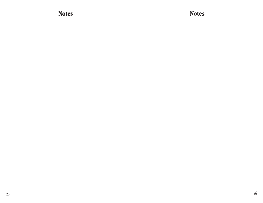**Notes Notes**